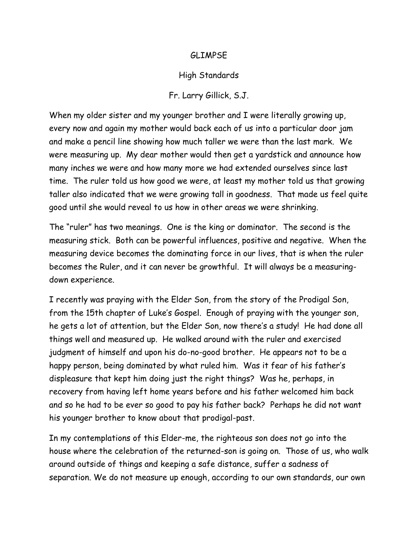## GLIMPSE

## High Standards

## Fr. Larry Gillick, S.J.

When my older sister and my younger brother and I were literally growing up, every now and again my mother would back each of us into a particular door jam and make a pencil line showing how much taller we were than the last mark. We were measuring up. My dear mother would then get a yardstick and announce how many inches we were and how many more we had extended ourselves since last time. The ruler told us how good we were, at least my mother told us that growing taller also indicated that we were growing tall in goodness. That made us feel quite good until she would reveal to us how in other areas we were shrinking.

The "ruler" has two meanings. One is the king or dominator. The second is the measuring stick. Both can be powerful influences, positive and negative. When the measuring device becomes the dominating force in our lives, that is when the ruler becomes the Ruler, and it can never be growthful. It will always be a measuringdown experience.

I recently was praying with the Elder Son, from the story of the Prodigal Son, from the 15th chapter of Luke's Gospel. Enough of praying with the younger son, he gets a lot of attention, but the Elder Son, now there's a study! He had done all things well and measured up. He walked around with the ruler and exercised judgment of himself and upon his do-no-good brother. He appears not to be a happy person, being dominated by what ruled him. Was it fear of his father's displeasure that kept him doing just the right things? Was he, perhaps, in recovery from having left home years before and his father welcomed him back and so he had to be ever so good to pay his father back? Perhaps he did not want his younger brother to know about that prodigal-past.

In my contemplations of this Elder-me, the righteous son does not go into the house where the celebration of the returned-son is going on. Those of us, who walk around outside of things and keeping a safe distance, suffer a sadness of separation. We do not measure up enough, according to our own standards, our own